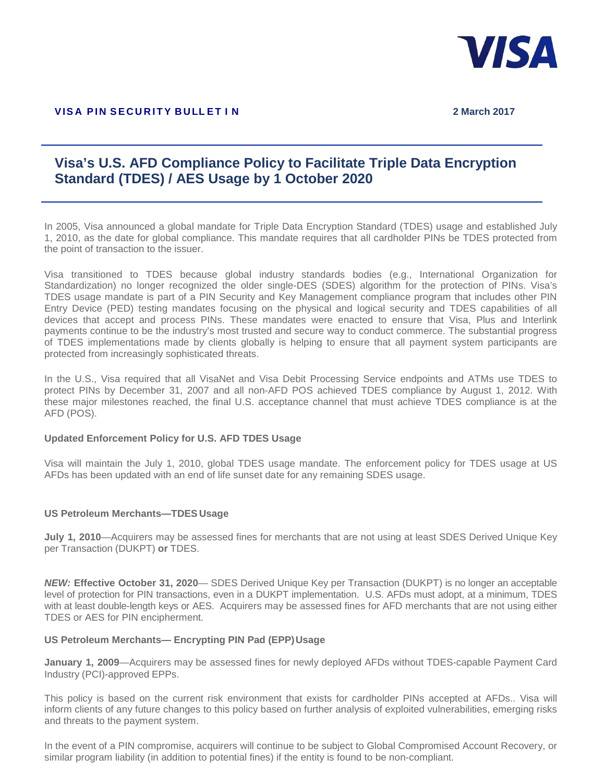

## **Visa's U.S. AFD Compliance Policy to Facilitate Triple Data Encryption Standard (TDES) / AES Usage by 1 October 2020**

In 2005, Visa announced a global mandate for Triple Data Encryption Standard (TDES) usage and established July 1, 2010, as the date for global compliance. This mandate requires that all cardholder PINs be TDES protected from the point of transaction to the issuer.

Visa transitioned to TDES because global industry standards bodies (e.g., International Organization for Standardization) no longer recognized the older single-DES (SDES) algorithm for the protection of PINs. Visa's TDES usage mandate is part of a PIN Security and Key Management compliance program that includes other PIN Entry Device (PED) testing mandates focusing on the physical and logical security and TDES capabilities of all devices that accept and process PINs. These mandates were enacted to ensure that Visa, Plus and Interlink payments continue to be the industry's most trusted and secure way to conduct commerce. The substantial progress of TDES implementations made by clients globally is helping to ensure that all payment system participants are protected from increasingly sophisticated threats.

In the U.S., Visa required that all VisaNet and Visa Debit Processing Service endpoints and ATMs use TDES to protect PINs by December 31, 2007 and all non-AFD POS achieved TDES compliance by August 1, 2012. With these major milestones reached, the final U.S. acceptance channel that must achieve TDES compliance is at the AFD (POS).

## **Updated Enforcement Policy for U.S. AFD TDES Usage**

Visa will maintain the July 1, 2010, global TDES usage mandate. The enforcement policy for TDES usage at US AFDs has been updated with an end of life sunset date for any remaining SDES usage.

## **US Petroleum Merchants—TDES Usage**

**July 1, 2010**—Acquirers may be assessed fines for merchants that are not using at least SDES Derived Unique Key per Transaction (DUKPT) **or** TDES.

*NEW:* **Effective October 31, 2020**— SDES Derived Unique Key per Transaction (DUKPT) is no longer an acceptable level of protection for PIN transactions, even in a DUKPT implementation. U.S. AFDs must adopt, at a minimum, TDES with at least double-length keys or AES. Acquirers may be assessed fines for AFD merchants that are not using either TDES or AES for PIN encipherment.

## **US Petroleum Merchants— Encrypting PIN Pad (EPP)Usage**

**January 1, 2009**—Acquirers may be assessed fines for newly deployed AFDs without TDES-capable Payment Card Industry (PCI)-approved EPPs.

This policy is based on the current risk environment that exists for cardholder PINs accepted at AFDs.. Visa will inform clients of any future changes to this policy based on further analysis of exploited vulnerabilities, emerging risks and threats to the payment system.

In the event of a PIN compromise, acquirers will continue to be subject to Global Compromised Account Recovery, or similar program liability (in addition to potential fines) if the entity is found to be non-compliant.